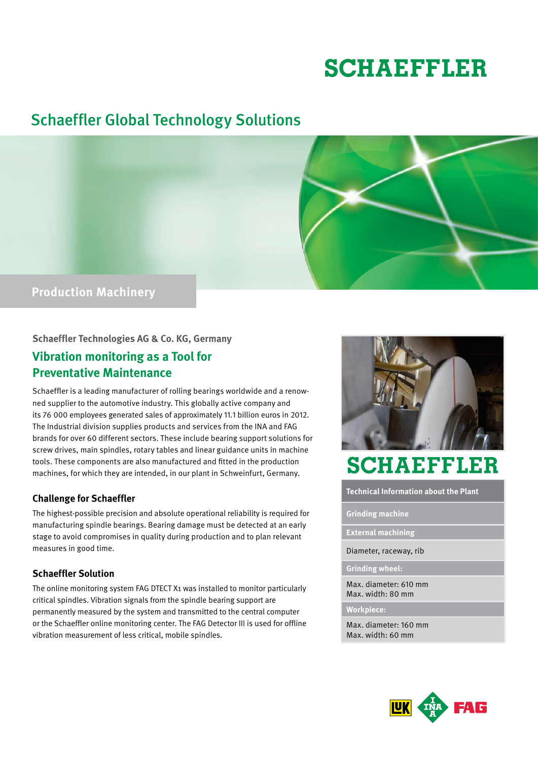# **SCHAEFFLER**

## Schaeffler Global Technology Solutions



### **Schaeffler Technologies AG & Co. KG, Germany**

### **Vibration monitoring as a Tool for Preventative Maintenance**

Schaeffler is a leading manufacturer of rolling bearings worldwide and a renowned supplier to the automotive industry. This globally active company and its 76 000 employees generated sales of approximately 11.1 billion euros in 2012. The Industrial division supplies products and services from the INA and FAG brands for over 60 different sectors. These include bearing support solutions for screw drives, main spindles, rotary tables and linear guidance units in machine tools. These components are also manufactured and fitted in the production machines, for which they are intended, in our plant in Schweinfurt, Germany.

### **Challenge for Schaeffler**

The highest-possible precision and absolute operational reliability is required for manufacturing spindle bearings. Bearing damage must be detected at an early stage to avoid compromises in quality during production and to plan relevant measures in good time.

### **Schaeffler Solution**

The online monitoring system FAG DTECT X1 was installed to monitor particularly critical spindles. Vibration signals from the spindle bearing support are permanently measured by the system and transmitted to the central computer or the Schaeffler online monitoring center. The FAG Detector III is used for offline vibration measurement of less critical, mobile spindles.



## **SCHAEFFLER**

**Technical Information about the Plant**

**Grinding machine**

**External machining**

Diameter, raceway, rib

**Grinding wheel:**

Max. diameter: 610 mm Max. width: 80 mm

**Workpiece:**

Max. diameter: 160 mm Max. width: 60 mm